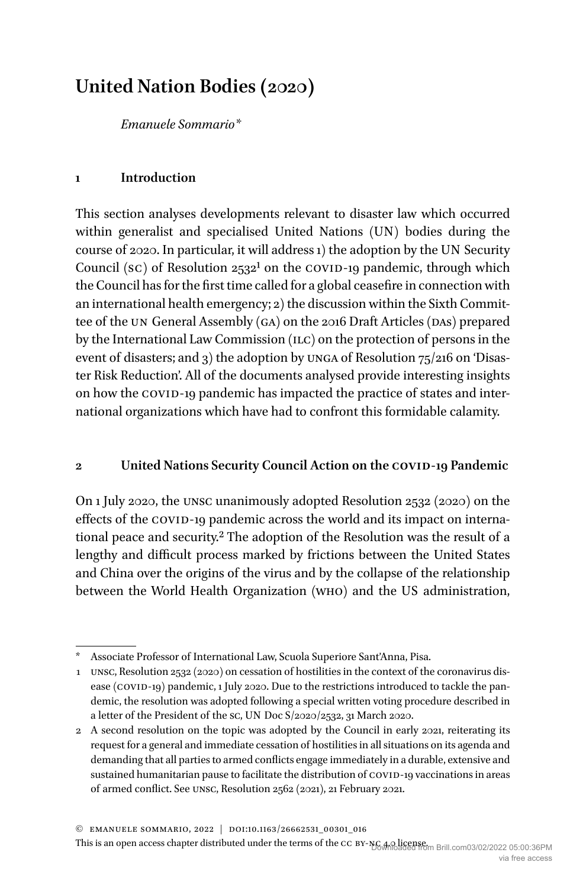# **United Nation Bodies (2020)**

*Emanuele Sommario\**

## **1 Introduction**

This section analyses developments relevant to disaster law which occurred within generalist and specialised United Nations (UN) bodies during the course of 2020. In particular, it will address 1) the adoption by the UN Security Council ( $SC$ ) of Resolution  $2532<sup>1</sup>$  on the COVID-19 pandemic, through which the Council has for the first time called for a global ceasefire in connection with an international health emergency; 2) the discussion within the Sixth Committee of the UN General Assembly (ga) on the 2016 Draft Articles (DAs) prepared by the International Law Commission (ilc) on the protection of persons in the event of disasters; and 3) the adoption by unga of Resolution 75/216 on 'Disaster Risk Reduction'. All of the documents analysed provide interesting insights on how the COVID-19 pandemic has impacted the practice of states and international organizations which have had to confront this formidable calamity.

## **2 United Nations Security Council Action on the COVID-19 Pandemic**

On 1 July 2020, the unsc unanimously adopted Resolution 2532 (2020) on the effects of the COVID-19 pandemic across the world and its impact on international peace and security.2 The adoption of the Resolution was the result of a lengthy and difficult process marked by frictions between the United States and China over the origins of the virus and by the collapse of the relationship between the World Health Organization (who) and the US administration,

© Emanuele Sommario, 2022 | doi:10.1163/26662531\_00301\_016

This is an open access chapter [distributed](https://creativecommons.org/licenses/by-nc/4.0/) under the terms of the CC BY-NG 400 ligense. Brill.com03/02/2022 05:00:36PM

<sup>\*</sup> Associate Professor of International Law, Scuola Superiore Sant'Anna, Pisa.

<sup>1</sup> unsc, Resolution 2532 (2020) on cessation of hostilities in the context of the coronavirus disease (COVID-19) pandemic, 1 July 2020. Due to the restrictions introduced to tackle the pandemic, the resolution was adopted following a special written voting procedure described in a letter of the President of the sc, UN Doc S/2020/2532, 31 March 2020.

<sup>2</sup> A second resolution on the topic was adopted by the Council in early 2021, reiterating its request for a general and immediate cessation of hostilities in all situations on its agenda and demanding that all parties to armed conflicts engage immediately in a durable, extensive and sustained humanitarian pause to facilitate the distribution of COVID-19 vaccinations in areas of armed conflict. See unsc, Resolution 2562 (2021), 21 February 2021.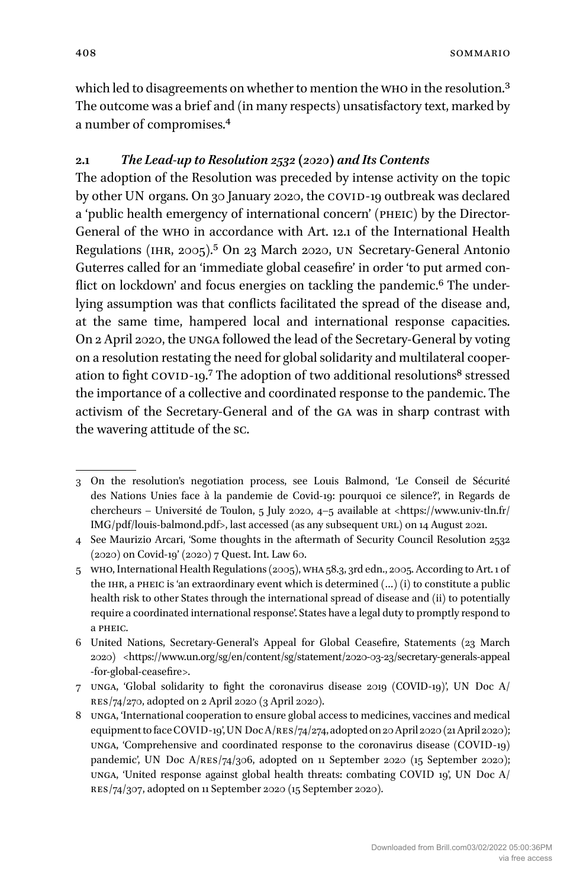which led to disagreements on whether to mention the who in the resolution.<sup>3</sup> The outcome was a brief and (in many respects) unsatisfactory text, marked by a number of compromises.4

### **2.1** *The Lead-up to Resolution 2532 (2020) and Its Contents*

The adoption of the Resolution was preceded by intense activity on the topic by other UN organs. On 30 January 2020, the COVID-19 outbreak was declared a 'public health emergency of international concern' (pheic) by the Director-General of the who in accordance with Art. 12.1 of the International Health Regulations (ihr, 2005).5 On 23 March 2020, UN Secretary-General Antonio Guterres called for an 'immediate global ceasefire' in order 'to put armed conflict on lockdown' and focus energies on tackling the pandemic.6 The underlying assumption was that conflicts facilitated the spread of the disease and, at the same time, hampered local and international response capacities. On 2 April 2020, the unga followed the lead of the Secretary-General by voting on a resolution restating the need for global solidarity and multilateral cooperation to fight COVID-19.<sup>7</sup> The adoption of two additional resolutions<sup>8</sup> stressed the importance of a collective and coordinated response to the pandemic. The activism of the Secretary-General and of the ga was in sharp contrast with the wavering attitude of the sc.

<sup>3</sup> On the resolution's negotiation process, see Louis Balmond, 'Le Conseil de Sécurité des Nations Unies face à la pandemie de Covid-19: pourquoi ce silence?', in Regards de chercheurs – Université de Toulon, 5 July 2020, 4–5 available at [<https://www.univ](https://www.univ-tln.fr/IMG/pdf/louis-balmond.pdf)-tln.fr/ IMG/pdf/[louis-balmond](https://www.univ-tln.fr/IMG/pdf/louis-balmond.pdf).pdf>, last accessed (as any subsequent URL) on 14 August 2021.

<sup>4</sup> See Maurizio Arcari, 'Some thoughts in the aftermath of Security Council Resolution 2532 (2020) on Covid-19' (2020) 7 Quest. Int. Law 60.

<sup>5</sup> who, International Health Regulations (2005), wha 58.3, 3rd edn., 2005. According to Art. 1 of the IHR, a PHEIC is 'an extraordinary event which is determined  $(...)$  (i) to constitute a public health risk to other States through the international spread of disease and (ii) to potentially require a coordinated international response'. States have a legal duty to promptly respond to a pheic.

<sup>6</sup> United Nations, Secretary-General's Appeal for Global Ceasefire, Statements (23 March 2020) <[https://www.un.org/sg/en/content/sg/statement/2020-03-23/secretary](https://www.un.org/sg/en/content/sg/statement/2020-03-23/secretary-generals-appeal-for-global-ceasefire)-generals-appeal -for-global-[ceasefire>](https://www.un.org/sg/en/content/sg/statement/2020-03-23/secretary-generals-appeal-for-global-ceasefire).

<sup>7</sup> unga, 'Global solidarity to fight the coronavirus disease 2019 (COVID-19)', UN Doc A/ res/74/270, adopted on 2 April 2020 (3 April 2020).

<sup>8</sup> unga, 'International cooperation to ensure global access to medicines, vaccines and medical equipment to face COVID-19', UN Doc A/RES/74/274, adopted on 20 April 2020 (21 April 2020); unga, 'Comprehensive and coordinated response to the coronavirus disease (COVID-19) pandemic', UN Doc A/RES/74/306, adopted on 11 September 2020 (15 September 2020); unga, 'United response against global health threats: combating COVID 19', UN Doc A/ res/74/307, adopted on 11 September 2020 (15 September 2020).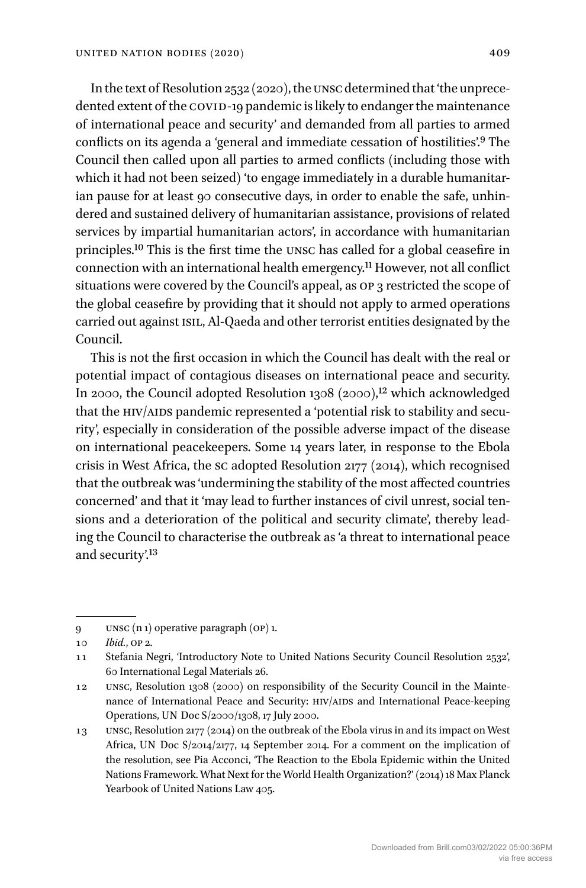In the text of Resolution 2532 (2020), the unsc determined that 'the unprecedented extent of the COVID-19 pandemic is likely to endanger the maintenance of international peace and security' and demanded from all parties to armed conflicts on its agenda a 'general and immediate cessation of hostilities'.9 The Council then called upon all parties to armed conflicts (including those with which it had not been seized) 'to engage immediately in a durable humanitarian pause for at least 90 consecutive days, in order to enable the safe, unhindered and sustained delivery of humanitarian assistance, provisions of related services by impartial humanitarian actors', in accordance with humanitarian principles.10 This is the first time the unsc has called for a global ceasefire in connection with an international health emergency.11 However, not all conflict situations were covered by the Council's appeal, as OP 3 restricted the scope of the global ceasefire by providing that it should not apply to armed operations carried out against isil, Al-Qaeda and other terrorist entities designated by the Council.

This is not the first occasion in which the Council has dealt with the real or potential impact of contagious diseases on international peace and security. In 2000, the Council adopted Resolution 1308 (2000),<sup>12</sup> which acknowledged that the HIV/AIDS pandemic represented a 'potential risk to stability and security', especially in consideration of the possible adverse impact of the disease on international peacekeepers. Some 14 years later, in response to the Ebola crisis in West Africa, the sc adopted Resolution 2177 (2014), which recognised that the outbreak was 'undermining the stability of the most affected countries concerned' and that it 'may lead to further instances of civil unrest, social tensions and a deterioration of the political and security climate', thereby leading the Council to characterise the outbreak as 'a threat to international peace and security'.13

<sup>9</sup> unsc (n 1) operative paragraph (op) 1.

<sup>10</sup> *Ibid.*, op 2.

<sup>11</sup> Stefania Negri, 'Introductory Note to United Nations Security Council Resolution 2532', 60 International Legal Materials 26.

<sup>12</sup> unsc, Resolution 1308 (2000) on responsibility of the Security Council in the Maintenance of International Peace and Security: HIV/AIDS and International Peace-keeping Operations, UN Doc S/2000/1308, 17 July 2000.

<sup>13</sup> unsc, Resolution 2177 (2014) on the outbreak of the Ebola virus in and its impact on West Africa, UN Doc S/2014/2177, 14 September 2014. For a comment on the implication of the resolution, see Pia Acconci, 'The Reaction to the Ebola Epidemic within the United Nations Framework. What Next for the World Health Organization?' (2014) 18 Max Planck Yearbook of United Nations Law 405.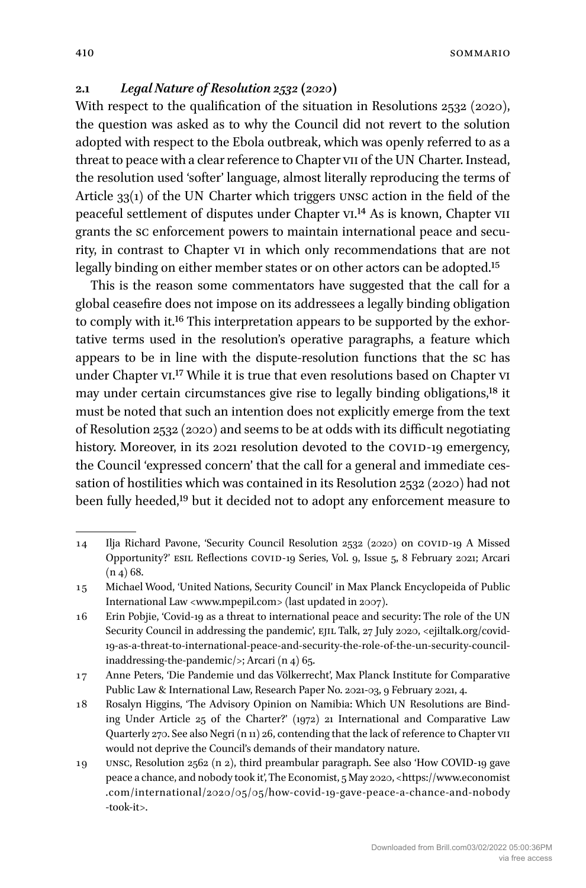#### **2.1** *Legal Nature of Resolution 2532 (2020)*

With respect to the qualification of the situation in Resolutions 2532 (2020), the question was asked as to why the Council did not revert to the solution adopted with respect to the Ebola outbreak, which was openly referred to as a threat to peace with a clear reference to Chapter vii of the UN Charter. Instead, the resolution used 'softer' language, almost literally reproducing the terms of Article 33(1) of the UN Charter which triggers unsc action in the field of the peaceful settlement of disputes under Chapter vi.14 As is known, Chapter vii grants the sc enforcement powers to maintain international peace and security, in contrast to Chapter vi in which only recommendations that are not legally binding on either member states or on other actors can be adopted.<sup>15</sup>

This is the reason some commentators have suggested that the call for a global ceasefire does not impose on its addressees a legally binding obligation to comply with it.16 This interpretation appears to be supported by the exhortative terms used in the resolution's operative paragraphs, a feature which appears to be in line with the dispute-resolution functions that the sc has under Chapter vi.<sup>17</sup> While it is true that even resolutions based on Chapter vi may under certain circumstances give rise to legally binding obligations,18 it must be noted that such an intention does not explicitly emerge from the text of Resolution 2532 (2020) and seems to be at odds with its difficult negotiating history. Moreover, in its 2021 resolution devoted to the COVID-19 emergency, the Council 'expressed concern' that the call for a general and immediate cessation of hostilities which was contained in its Resolution 2532 (2020) had not been fully heeded,<sup>19</sup> but it decided not to adopt any enforcement measure to

<sup>14</sup> Ilja Richard Pavone, 'Security Council Resolution 2532 (2020) on covid-19 A Missed Opportunity?' ESIL Reflections COVID-19 Series, Vol. 9, Issue 5, 8 February 2021; Arcari  $(n_4)$  68.

<sup>15</sup> Michael Wood, 'United Nations, Security Council' in Max Planck Encyclopeida of Public International Law [<www.mpepil.com>](http://www.mpepil.com) (last updated in 2007).

<sup>16</sup> Erin Pobjie, 'Covid-19 as a threat to international peace and security: The role of the UN Security Council in addressing the pandemic', EJIL Talk, 27 July 2020, <ejiltalk.org/covid-19-as-a-threat-to-international-peace-and-security-the-role-of-the-un-security-councilinaddressing-the-pandemic/>; Arcari (n 4) 65.

<sup>17</sup> Anne Peters, 'Die Pandemie und das Völkerrecht', Max Planck Institute for Comparative Public Law & International Law, Research Paper No. 2021-03, 9 February 2021, 4.

<sup>18</sup> Rosalyn Higgins, 'The Advisory Opinion on Namibia: Which UN Resolutions are Binding Under Article 25 of the Charter?' (1972) 21 International and Comparative Law Quarterly 270. See also Negri (n 11) 26, contending that the lack of reference to Chapter vii would not deprive the Council's demands of their mandatory nature.

<sup>19</sup> unsc, Resolution 2562 (n 2), third preambular paragraph. See also 'How COVID-19 gave peace a chance, and nobody took it', The Economist, 5 May 2020, <[https://www.economist](https://www.economist.com/international/2020/05/05/how-covid-19-gave-peace-a-chance-and-nobody-took-it) [.com/international/2020/05/05/how](https://www.economist.com/international/2020/05/05/how-covid-19-gave-peace-a-chance-and-nobody-took-it)-covid-19-gave-peace-a-chance-and-nobody -[took](https://www.economist.com/international/2020/05/05/how-covid-19-gave-peace-a-chance-and-nobody-took-it)-it>.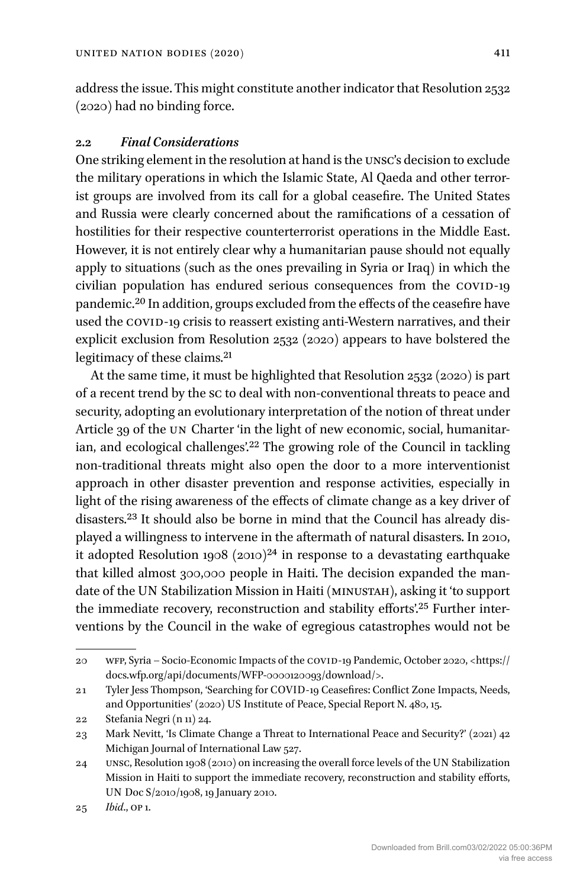address the issue. This might constitute another indicator that Resolution 2532 (2020) had no binding force.

#### **2.2** *Final Considerations*

One striking element in the resolution at hand is the UNSC's decision to exclude the military operations in which the Islamic State, Al Qaeda and other terrorist groups are involved from its call for a global ceasefire. The United States and Russia were clearly concerned about the ramifications of a cessation of hostilities for their respective counterterrorist operations in the Middle East. However, it is not entirely clear why a humanitarian pause should not equally apply to situations (such as the ones prevailing in Syria or Iraq) in which the civilian population has endured serious consequences from the COVID-19 pandemic.20 In addition, groups excluded from the effects of the ceasefire have used the COVID-19 crisis to reassert existing anti-Western narratives, and their explicit exclusion from Resolution 2532 (2020) appears to have bolstered the legitimacy of these claims.21

At the same time, it must be highlighted that Resolution 2532 (2020) is part of a recent trend by the sc to deal with non-conventional threats to peace and security, adopting an evolutionary interpretation of the notion of threat under Article 39 of the UN Charter 'in the light of new economic, social, humanitarian, and ecological challenges'.22 The growing role of the Council in tackling non-traditional threats might also open the door to a more interventionist approach in other disaster prevention and response activities, especially in light of the rising awareness of the effects of climate change as a key driver of disasters.23 It should also be borne in mind that the Council has already displayed a willingness to intervene in the aftermath of natural disasters. In 2010, it adopted Resolution 1908 (2010)<sup>24</sup> in response to a devastating earthquake that killed almost 300,000 people in Haiti. The decision expanded the mandate of the UN Stabilization Mission in Haiti (minustah), asking it 'to support the immediate recovery, reconstruction and stability efforts'.<sup>25</sup> Further interventions by the Council in the wake of egregious catastrophes would not be

<sup>20</sup> wfp, Syria – Socio-Economic Impacts of the covid-19 Pandemic, October 2020, [<https://](https://docs.wfp.org/api/documents/WFP-0000120093/download/) [docs.wfp.org/api/documents/WFP-0000120093/download/>](https://docs.wfp.org/api/documents/WFP-0000120093/download/).

<sup>21</sup> Tyler Jess Thompson, 'Searching for COVID-19 Ceasefires: Conflict Zone Impacts, Needs, and Opportunities' (2020) US Institute of Peace, Special Report N. 480, 15.

<sup>22</sup> Stefania Negri (n 11) 24.

<sup>23</sup> Mark Nevitt, 'Is Climate Change a Threat to International Peace and Security?' (2021) 42 Michigan Journal of International Law 527.

<sup>24</sup> unsc, Resolution 1908 (2010) on increasing the overall force levels of the UN Stabilization Mission in Haiti to support the immediate recovery, reconstruction and stability efforts, UN Doc S/2010/1908, 19 January 2010.

<sup>25</sup> *Ibid*., op 1.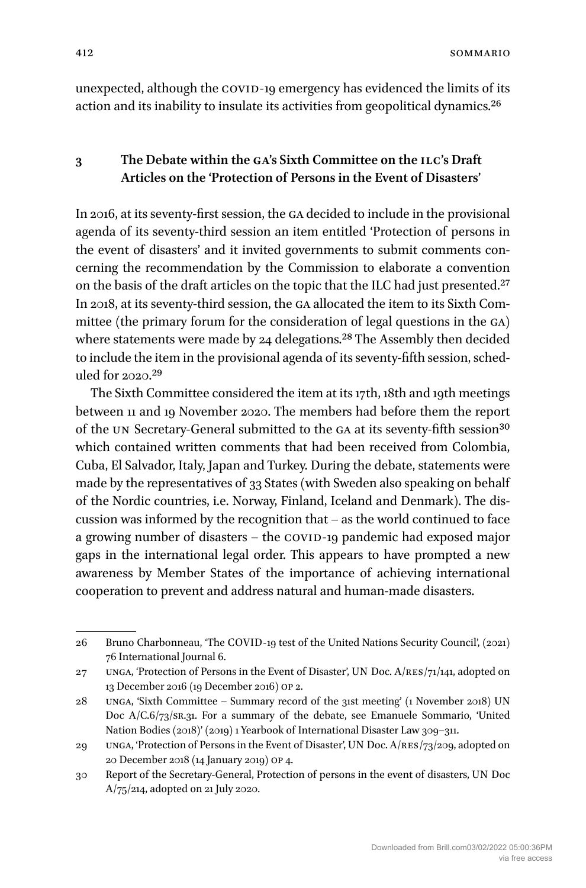unexpected, although the COVID-19 emergency has evidenced the limits of its action and its inability to insulate its activities from geopolitical dynamics.<sup>26</sup>

## **3 The Debate within the GA's Sixth Committee on the ILC's Draft Articles on the 'Protection of Persons in the Event of Disasters'**

In 2016, at its seventy-first session, the ga decided to include in the provisional agenda of its seventy-third session an item entitled 'Protection of persons in the event of disasters' and it invited governments to submit comments concerning the recommendation by the Commission to elaborate a convention on the basis of the draft articles on the topic that the ILC had just presented.27 In 2018, at its seventy-third session, the ga allocated the item to its Sixth Committee (the primary forum for the consideration of legal questions in the ga) where statements were made by 24 delegations.<sup>28</sup> The Assembly then decided to include the item in the provisional agenda of its seventy-fifth session, scheduled for 2020.29

The Sixth Committee considered the item at its 17th, 18th and 19th meetings between 11 and 19 November 2020. The members had before them the report of the UN Secretary-General submitted to the GA at its seventy-fifth session<sup>30</sup> which contained written comments that had been received from Colombia, Cuba, El Salvador, Italy, Japan and Turkey. During the debate, statements were made by the representatives of 33 States (with Sweden also speaking on behalf of the Nordic countries, i.e. Norway, Finland, Iceland and Denmark). The discussion was informed by the recognition that – as the world continued to face a growing number of disasters - the COVID-19 pandemic had exposed major gaps in the international legal order. This appears to have prompted a new awareness by Member States of the importance of achieving international cooperation to prevent and address natural and human-made disasters.

<sup>26</sup> Bruno Charbonneau, 'The COVID-19 test of the United Nations Security Council', (2021) 76 International Journal 6.

<sup>27</sup> unga, 'Protection of Persons in the Event of Disaster', UN Doc.  $A/RES/71/141$ , adopted on 13 December 2016 (19 December 2016) op 2.

<sup>28</sup> unga, 'Sixth Committee – Summary record of the 31st meeting' (1 November 2018) UN Doc A/C.6/73/sr.31. For a summary of the debate, see Emanuele Sommario, 'United Nation Bodies (2018)' (2019) 1 Yearbook of International Disaster Law 309–311.

<sup>29</sup> unga, 'Protection of Persons in the Event of Disaster', UN Doc. A/res/73/209, adopted on 20 December 2018 (14 January 2019) op 4.

<sup>30</sup> Report of the Secretary-General, Protection of persons in the event of disasters, UN Doc A/75/214, adopted on 21 July 2020.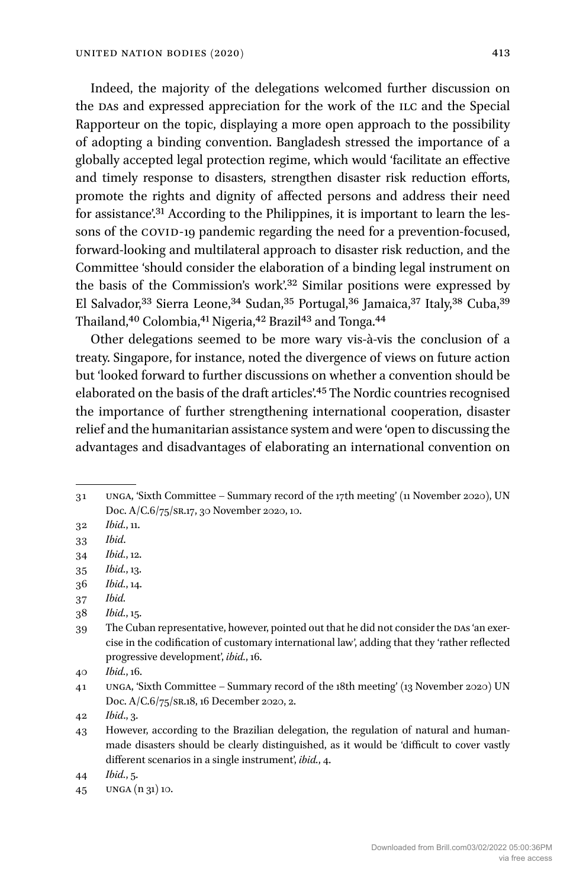Indeed, the majority of the delegations welcomed further discussion on the DAs and expressed appreciation for the work of the ILC and the Special Rapporteur on the topic, displaying a more open approach to the possibility of adopting a binding convention. Bangladesh stressed the importance of a globally accepted legal protection regime, which would 'facilitate an effective and timely response to disasters, strengthen disaster risk reduction efforts, promote the rights and dignity of affected persons and address their need for assistance'.<sup>31</sup> According to the Philippines, it is important to learn the lessons of the COVID-19 pandemic regarding the need for a prevention-focused, forward-looking and multilateral approach to disaster risk reduction, and the Committee 'should consider the elaboration of a binding legal instrument on the basis of the Commission's work'.32 Similar positions were expressed by El Salvador,<sup>33</sup> Sierra Leone,<sup>34</sup> Sudan,<sup>35</sup> Portugal,<sup>36</sup> Jamaica,<sup>37</sup> Italy,<sup>38</sup> Cuba,<sup>39</sup> Thailand,<sup>40</sup> Colombia,<sup>41</sup> Nigeria,<sup>42</sup> Brazil<sup>43</sup> and Tonga.<sup>44</sup>

Other delegations seemed to be more wary vis-à-vis the conclusion of a treaty. Singapore, for instance, noted the divergence of views on future action but 'looked forward to further discussions on whether a convention should be elaborated on the basis of the draft articles'.45 The Nordic countries recognised the importance of further strengthening international cooperation, disaster relief and the humanitarian assistance system and were 'open to discussing the advantages and disadvantages of elaborating an international convention on

- 36 *Ibid.*, 14.
- 37 *Ibid.*
- 38 *Ibid.*, 15.
- 39 The Cuban representative, however, pointed out that he did not consider the DAs 'an exercise in the codification of customary international law', adding that they 'rather reflected progressive development', *ibid.*, 16.
- 40 *Ibid.*, 16.

<sup>31</sup> unga, 'Sixth Committee – Summary record of the 17th meeting' (11 November 2020), UN Doc. A/C.6/75/sr.17, 30 November 2020, 10.

<sup>32</sup> *Ibid.*, 11.

<sup>33</sup> *Ibid*.

<sup>34</sup> *Ibid.*, 12.

<sup>35</sup> *Ibid.*, 13.

<sup>41</sup> unga, 'Sixth Committee – Summary record of the 18th meeting' (13 November 2020) UN Doc. A/C.6/75/sr.18, 16 December 2020, 2.

<sup>42</sup> *Ibid*., 3.

<sup>43</sup> However, according to the Brazilian delegation, the regulation of natural and humanmade disasters should be clearly distinguished, as it would be 'difficult to cover vastly different scenarios in a single instrument', *ibid.*, 4.

<sup>44</sup> *Ibid.*, 5.

<sup>45</sup> unga (n 31) 10.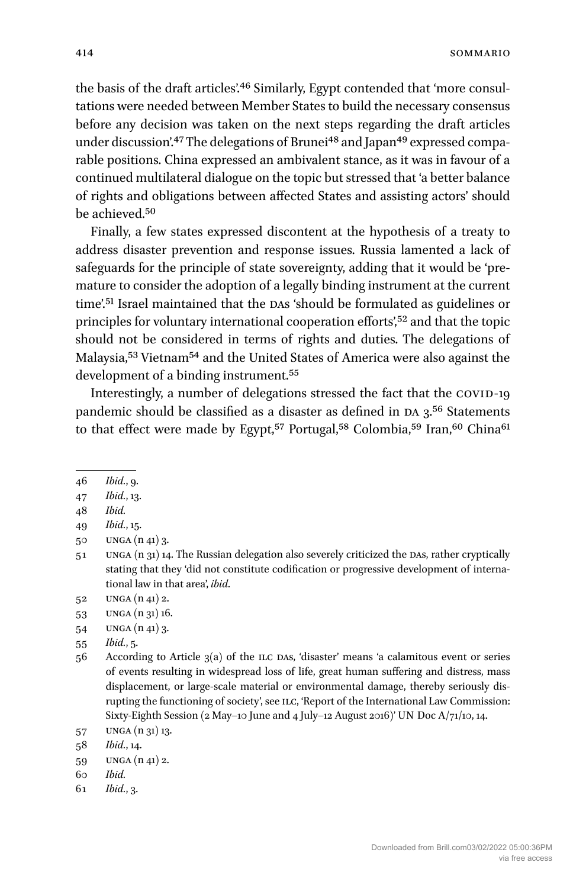the basis of the draft articles'.<sup>46</sup> Similarly, Egypt contended that 'more consultations were needed between Member States to build the necessary consensus before any decision was taken on the next steps regarding the draft articles under discussion'.<sup>47</sup> The delegations of Brunei<sup>48</sup> and Japan<sup>49</sup> expressed comparable positions. China expressed an ambivalent stance, as it was in favour of a continued multilateral dialogue on the topic but stressed that 'a better balance of rights and obligations between affected States and assisting actors' should be achieved.50

Finally, a few states expressed discontent at the hypothesis of a treaty to address disaster prevention and response issues. Russia lamented a lack of safeguards for the principle of state sovereignty, adding that it would be 'premature to consider the adoption of a legally binding instrument at the current time'.51 Israel maintained that the DAs 'should be formulated as guidelines or principles for voluntary international cooperation efforts',52 and that the topic should not be considered in terms of rights and duties. The delegations of Malaysia,53 Vietnam54 and the United States of America were also against the development of a binding instrument.<sup>55</sup>

Interestingly, a number of delegations stressed the fact that the COVID-19 pandemic should be classified as a disaster as defined in DA 3.<sup>56</sup> Statements to that effect were made by Egypt,<sup>57</sup> Portugal,<sup>58</sup> Colombia,<sup>59</sup> Iran,<sup>60</sup> China<sup>61</sup>

- 50 unga (n 41) 3.
- 51 unga (n 31) 14. The Russian delegation also severely criticized the DAs, rather cryptically stating that they 'did not constitute codification or progressive development of international law in that area', *ibid*.
- 52 unga (n 41) 2.
- 53 unga (n 31) 16.
- 54 UNGA (n 41) 3.
- 55 *Ibid.*, 5.
- 56 According to Article 3(a) of the ilc DAs, 'disaster' means 'a calamitous event or series of events resulting in widespread loss of life, great human suffering and distress, mass displacement, or large-scale material or environmental damage, thereby seriously disrupting the functioning of society', see ilc, 'Report of the International Law Commission: Sixty-Eighth Session (2 May–10 June and 4 July–12 August 2016)' UN Doc A/71/10, 14.

- 59 unga (n 41) 2.
- 60 *Ibid.*
- 61 *Ibid.*, 3.

<sup>46</sup> *Ibid.*, 9.

<sup>47</sup> *Ibid.*, 13.

<sup>48</sup> *Ibid.*

<sup>49</sup> *Ibid.*, 15.

<sup>57</sup> unga (n 31) 13.

<sup>58</sup> *Ibid.*, 14.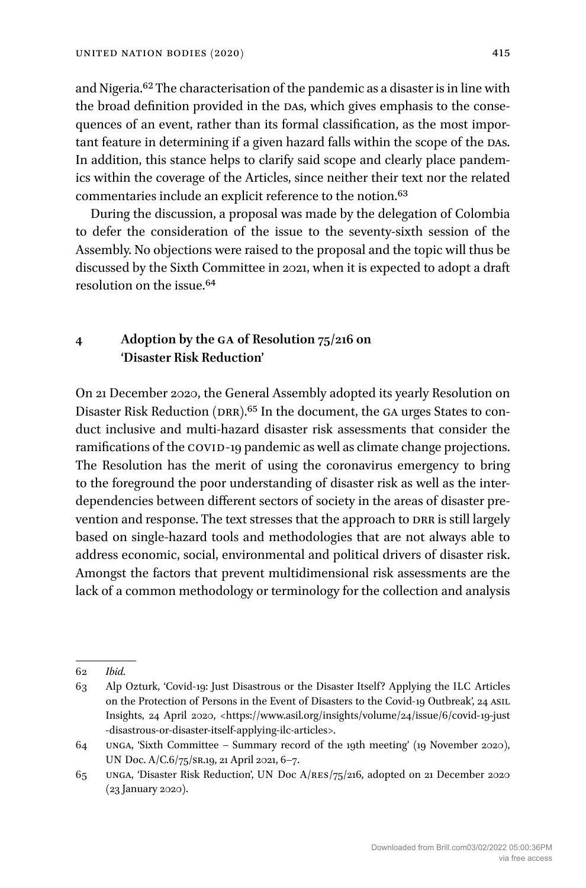and Nigeria.62 The characterisation of the pandemic as a disaster is in line with the broad definition provided in the DAs, which gives emphasis to the consequences of an event, rather than its formal classification, as the most important feature in determining if a given hazard falls within the scope of the DAs. In addition, this stance helps to clarify said scope and clearly place pandemics within the coverage of the Articles, since neither their text nor the related commentaries include an explicit reference to the notion.63

During the discussion, a proposal was made by the delegation of Colombia to defer the consideration of the issue to the seventy-sixth session of the Assembly. No objections were raised to the proposal and the topic will thus be discussed by the Sixth Committee in 2021, when it is expected to adopt a draft resolution on the issue.64

## **4 Adoption by the ga of Resolution 75/216 on 'Disaster Risk Reduction'**

On 21 December 2020, the General Assembly adopted its yearly Resolution on Disaster Risk Reduction (DRR).<sup>65</sup> In the document, the GA urges States to conduct inclusive and multi-hazard disaster risk assessments that consider the ramifications of the COVID-19 pandemic as well as climate change projections. The Resolution has the merit of using the coronavirus emergency to bring to the foreground the poor understanding of disaster risk as well as the interdependencies between different sectors of society in the areas of disaster prevention and response. The text stresses that the approach to DRR is still largely based on single-hazard tools and methodologies that are not always able to address economic, social, environmental and political drivers of disaster risk. Amongst the factors that prevent multidimensional risk assessments are the lack of a common methodology or terminology for the collection and analysis

<sup>62</sup> *Ibid.*

<sup>63</sup> Alp Ozturk, 'Covid-19: Just Disastrous or the Disaster Itself? Applying the ILC Articles on the Protection of Persons in the Event of Disasters to the Covid-19 Outbreak', 24 asil Insights, 24 April 2020, <[https://www.asil.org/insights/volume/24/issue/6/covid](https://www.asil.org/insights/volume/24/issue/6/covid-19-just-disastrous-or-disaster-itself-applying-ilc-articles)-19-just [-disastrous-or-disaster-itself-](https://www.asil.org/insights/volume/24/issue/6/covid-19-just-disastrous-or-disaster-itself-applying-ilc-articles)applying-ilc-articles>.

<sup>64</sup> unga, 'Sixth Committee – Summary record of the 19th meeting' (19 November 2020), UN Doc. A/C.6/75/sr.19, 21 April 2021, 6–7.

<sup>65</sup> unga, 'Disaster Risk Reduction', UN Doc A/res/75/216, adopted on 21 December 2020 (23 January 2020).